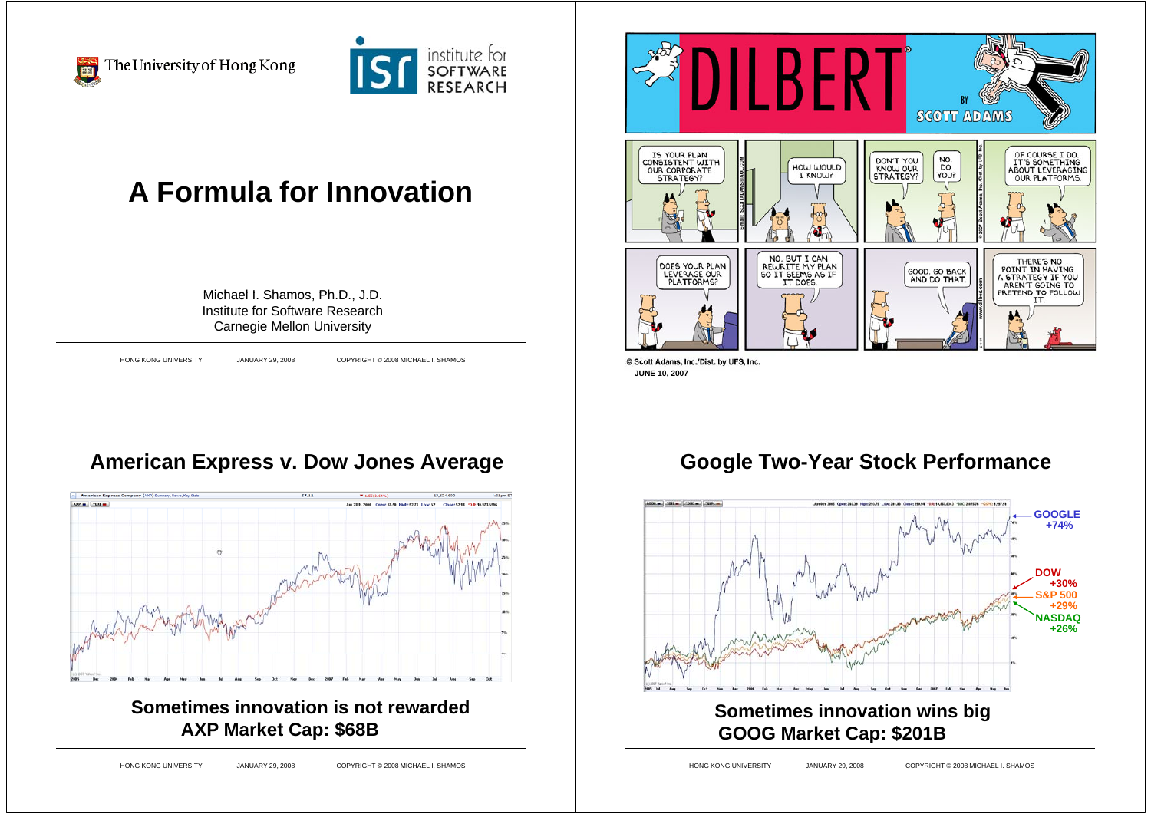

The University of Hong Kong



# **A Formula for Innovation**

Michael I. Shamos, Ph.D., J.D. Institute for Software ResearchCarnegie Mellon University

HONG KONG UNIVERSITY JANUARY 29, 2008 COPYRIGHT © 2008 MICHAEL I. SHAMOS



#### **American Express v. Dow Jones Average**



**Sometimes innovation is not rewardedAXP Market Cap: \$68B**

HONG KONG UNIVERSITY JANUARY 29, 2008 COPYRIGHT © 2008 MICHAEL I. SHAMOS

#### **Google Two-Year Stock Performance**

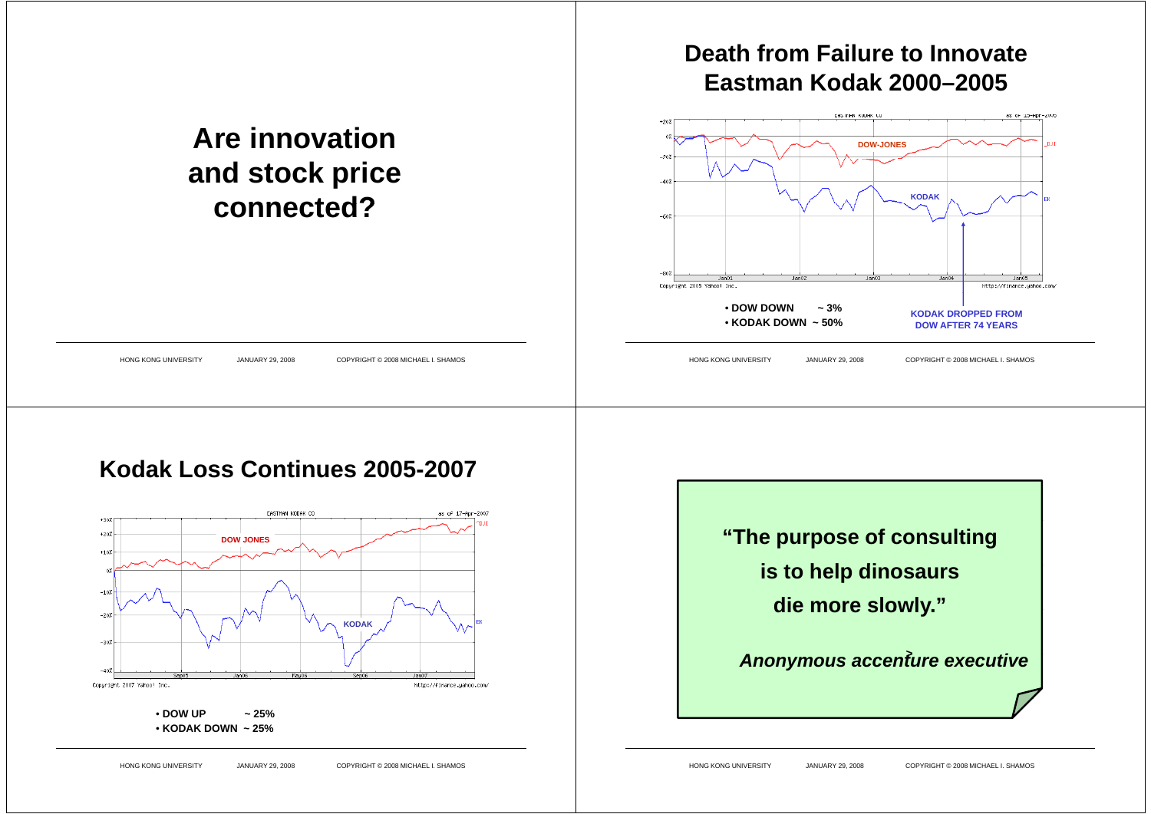#### **Eastman Kodak 2000–2005**.<br>FASTMAN KODAK CO as of 15-Ann-2005 **Are innovationDOW-JONESand stock price KODAKconnected?** $Jan05$  $Jan<sub>01</sub>$ Copyright 2005 Yahoo! Inc. http://finance.uahoo.com/ • **DOW DOWN ~ 3%KODAK DROPPED FROM**• **KODAK DOWN ~ 50%DOW AFTER 74 YEARS**HONG KONG UNIVERSITY JANUARY 29, 2008 COPYRIGHT © 2008 MICHAEL I. SHAMOS HONG KONG UNIVERSITY JANUARY 29, 2008 COPYRIGHT © 2008 MICHAEL I. SHAMOS







**Death from Failure to Innovate**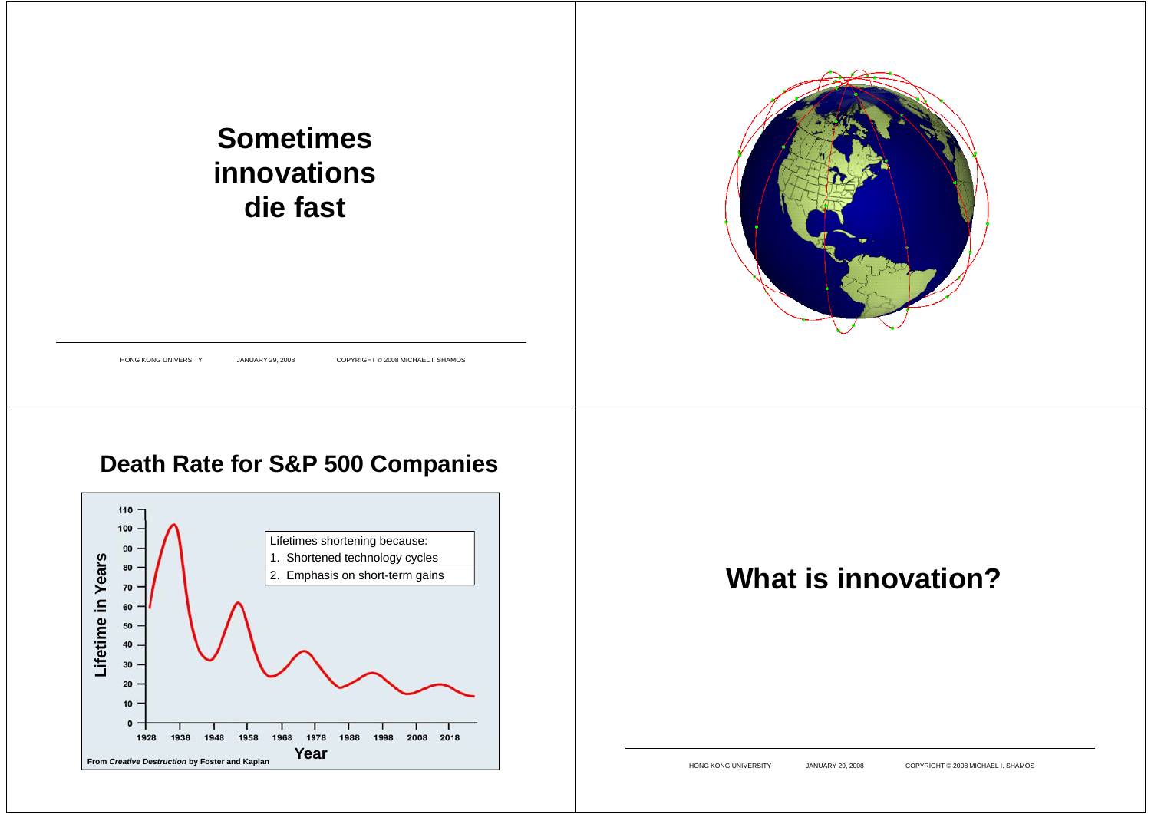#### 1985: Motorola en 1985: Motorola en 1985 77 satellites to provide global phone service to **Sometimes** Element 77 in the periodic table is in the periodic table in the periodic table is in the periodic table in the  $1991:$  Motors established Iridium separately in the  $1991:$ **innovations**  $\frac{1}{\sqrt{2}}$  $\begin{bmatrix} 1 & 1 \\ 1 & 1 \end{bmatrix}$ **die fast**  $1998.$  Service begins.  $1998.$  per minutes.  $1998.$  Disaster obvious by p A ril 1999 CEO quits before first part of the first part of the first part of the first part of the first part of the first Bankruptcy filed Friday, August 13, 1999 13, Assets sold for \$25M HONG KONG UNIVERSITY JANUARY 29, 2008 COPYRIGHT © 2008 MICHAEL I. SHAMOS **Death Rate for S&P 500 Companies** 110 100 Lifetimes shortening because: 90 **1.** Shortened technology cycles **What is innovation?n Yea** 2. Emphasis on short-term gains 70 60 **etime i** 50 40 30 **Lif** 20  $10$  $0 -$ 1928 1938 1948 1958 1968 1978 1988 1998 2008 2018 **Year From** *Creative Destruction* **by Foster and Kaplan** HONG KONG UNIVERSITY JANUARY 29, 2008 COPYRIGHT © 2008 MICHAEL I. SHAMOS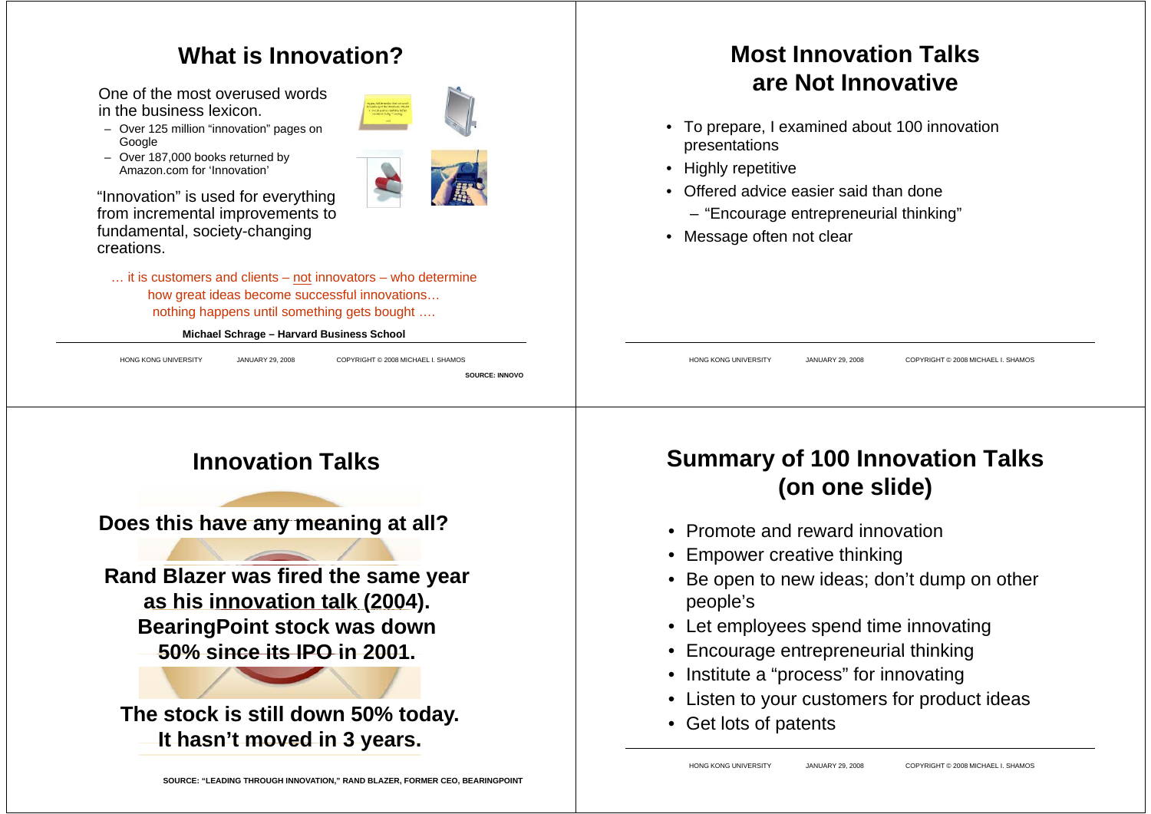#### **What is Innovation?**

One of the most overused words in the business lexicon.

- Over 125 million "innovation" pages on **Google**
- Over 187 000 books returned by 187,000 Amazon.com for 'Innovation'

"Innovation" is used for everything from incremental improvements to fundamental, society-changing creations.

… it is customers and clients – not innovators – who determine how great ideas become successful innovations... nothing happens until something gets bought ….

#### **Michael Schrage – Harvard Business School**

HONG KONG UNIVERSITY JANUARY 29, 2008 COPYRIGHT © 2008 MICHAEL I. SHAMOS

**SOURCE: INNOVO**

#### **Most Innovation Talksare Not Innovative**

- To prepare, I examined about 100 innovation presentations
- Highly repetitive
- Offered advice easier said than done
	- "Encourage entrepreneurial thinking"
- Message often not clear

HONG KONG UNIVERSITY JANUARY 29, 2008 COPYRIGHT © 2008 MICHAEL I. SHAMOS

## **Innovation Talks**

**Does this have any meaning at all?**

**Rand Blazer was fired the same year as his innovation talk (2004). BearingPoint stock was down 50% since its IPO in 2001 its 2001.**

**The stock is still down 50% today. It hasn't moved in 3 years hasn t years.**

## **Summary of 100 Innovation Talks (on one slide)**

- Promote and reward innovation
- Empower creative thinking
- Be open to new ideas; don't dump on other people's
- Let employees spend time innovating
- $\bullet$ Encourage entrepreneurial thinking
- $\bullet$ Institute a "process" for innovating
- Listen to your customers for product ideas
- Get lots of patents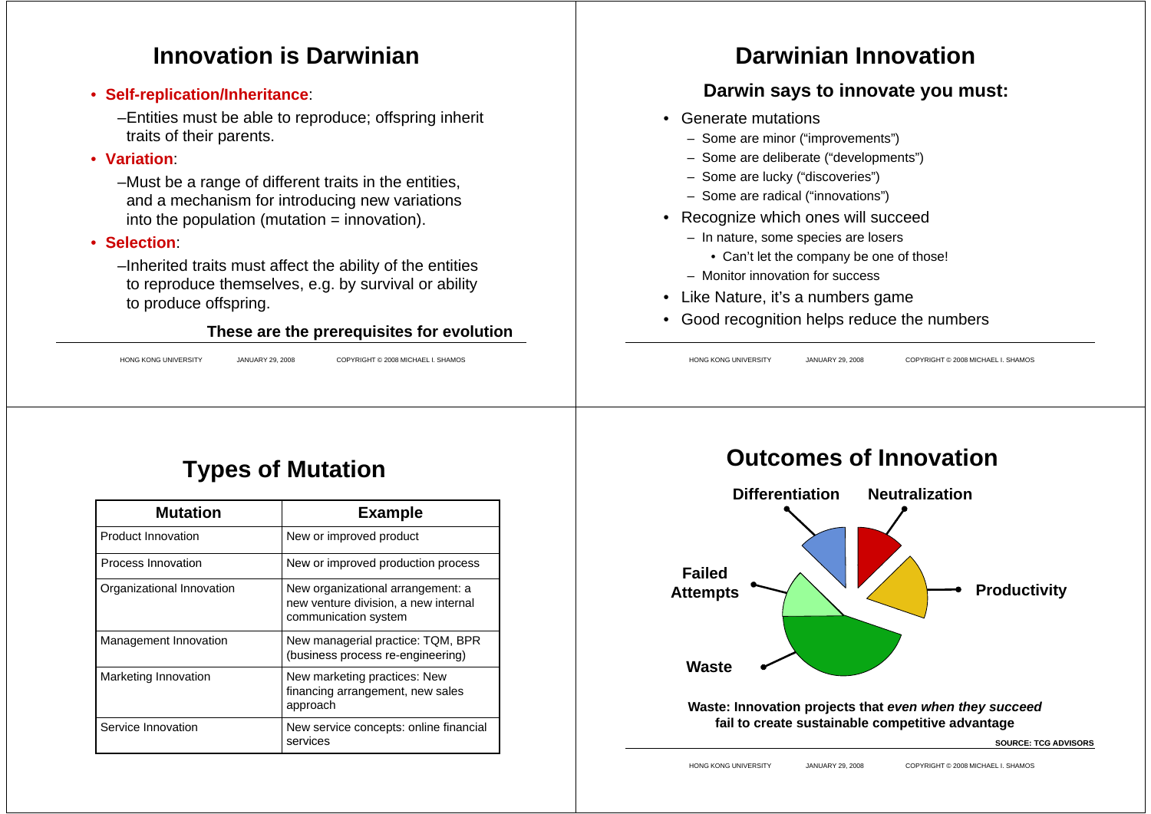#### **Innovation is Darwinian**

- **Self-replication/Inheritance**:
	- –Entities must be able to reproduce; offspring inherit traits of their parents.
- **Variation**:
	- –Must be a range of different traits in the entities, and a mechanism for introducing new variations into the population (mutation = innovation).
- **Se ect o l i n**:
	- –Inherited traits must affect the ability of the entities to reproduce themselves, e.g. by survival or ability to produce offspring.

#### **These are the prerequisites for evolution p q**

HONG KONG UNIVERSITY JANUARY 29, 2008 COPYRIGHT © 2008 MICHAEL I. SHAMOS

## **Darwinian Innovation**

#### **Darwin says to innovate you must:**

- Generate mutations
	- Some are minor ("improvements")
	- Some are deliberate ("developments")
	- Some are lucky ("discoveries")
	- Some are radical ("innovations")
- Recognize which ones will succeed
	- In nature, some species are losers
		- Can't let the company be one of those!
	- Monitor innovation for success
- Like Nature, it's a numbers game
- Good recognition helps reduce the numbers

HONG KONG UNIVERSITY JANUARY 29, 2008 COPYRIGHT © 2008 MICHAEL I. SHAMOS

# **Types of Mutation**

| <b>Mutation</b>           | <b>Example</b>                                                                                    |
|---------------------------|---------------------------------------------------------------------------------------------------|
| <b>Product Innovation</b> | New or improved product                                                                           |
| Process Innovation        | New or improved production process                                                                |
| Organizational Innovation | New organizational arrangement: a<br>new venture division, a new internal<br>communication system |
| Management Innovation     | New managerial practice: TQM, BPR<br>(business process re-engineering)                            |
| Marketing Innovation      | New marketing practices: New<br>financing arrangement, new sales<br>approach                      |
| Service Innovation        | New service concepts: online financial<br>services                                                |

#### **Outcomes of Innovation**



**Waste: Innovation projects that** *even when they succeed* **fail to create sustainable competitive advantage**

**SOURCE: TCG ADVISORS**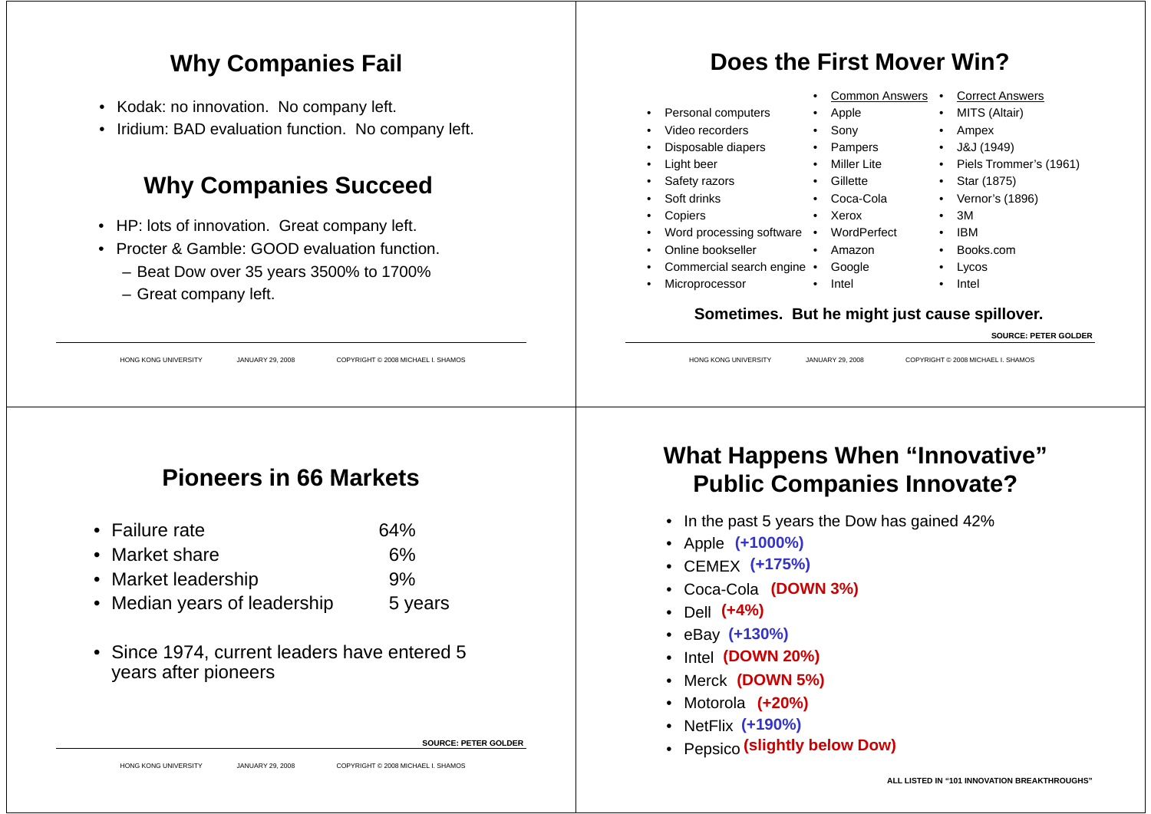#### **Why Companies Fail**

- Kodak: no innovation. No company left.
- Iridium: BAD evaluation function. No company left.

#### **Why Companies Succeed**

- HP: lots of innovation. Great company left.
- Procter & Gamble: GOOD evaluation function.
	- Beat Dow over 35 years 3500% to 1700%
	- Great company left.

#### **Does t e st o e the First Mover Win?**

• Apple

• Sony • Pampers

• Xerox

• Amazon

• Intel

• Miller Lite• Gillette• Coca-Cola

• Common Answers •

 Correct Answers • MITS (Altair)

Piels Trommer's (1961)

•

•

•

•

•

•Intel

 3M•IBM

• Books.com<br>• Lycos Lycos

•

Ampex

J&J (1949)

Star (1875)

• Vernor's (1896)<br>• 3M

- Personal computers
- •Video recorders
- •Disposable diapers
- •Light beer
- •Safety razors
- •Soft drinks
- •Copiers
- •Word processing software • WordPerfect

- Online bookseller • Amazon Books.com •
- Commercial search engine Google
- •Microprocessor

#### **Sometimes. But he might just cause spillover.**

| HONG KONG UNIVERSITY<br>JANUARY 29, 2008<br>COPYRIGHT © 2008 MICHAEL I. SHAMOS                                        | <b>SOURCE: PETER GOLDER</b><br><b>HONG KONG UNIVERSITY</b><br>JANUARY 29, 2008<br>COPYRIGHT © 2008 MICHAEL I. SHAMOS                                                                                                                                                   |
|-----------------------------------------------------------------------------------------------------------------------|------------------------------------------------------------------------------------------------------------------------------------------------------------------------------------------------------------------------------------------------------------------------|
| <b>Pioneers in 66 Markets</b>                                                                                         | <b>What Happens When "Innovative"</b><br><b>Public Companies Innovate?</b>                                                                                                                                                                                             |
| 64%<br>• Failure rate<br>• Market share<br>6%<br>9%<br>• Market leadership<br>• Median years of leadership<br>5 years | • In the past 5 years the Dow has gained 42%<br>• Apple (+1000%)<br>• CEMEX $(+175%)$<br>• Coca-Cola (DOWN 3%)<br>• Dell $(+4%)$<br>• $e$ Bay $(+130%)$<br>• Intel (DOWN 20%)<br>• Merck (DOWN 5%)<br>• Motorola (+20%)<br>• NetFlix (+190%)<br>p (eliabtly below Dow) |
| • Since 1974, current leaders have entered 5<br>years after pioneers<br>SOURCE: PETER GOLDER                          |                                                                                                                                                                                                                                                                        |

- Median years of leadership **5** years
- Since 1974, current leaders have entered 5 years after pioneers

**SOURCE: PETER GOLDER**

P i **(slightly below Dow)** • Pepsico

#### **ALL LISTED IN "101 INNOVATION BREAKTHROUGHS"**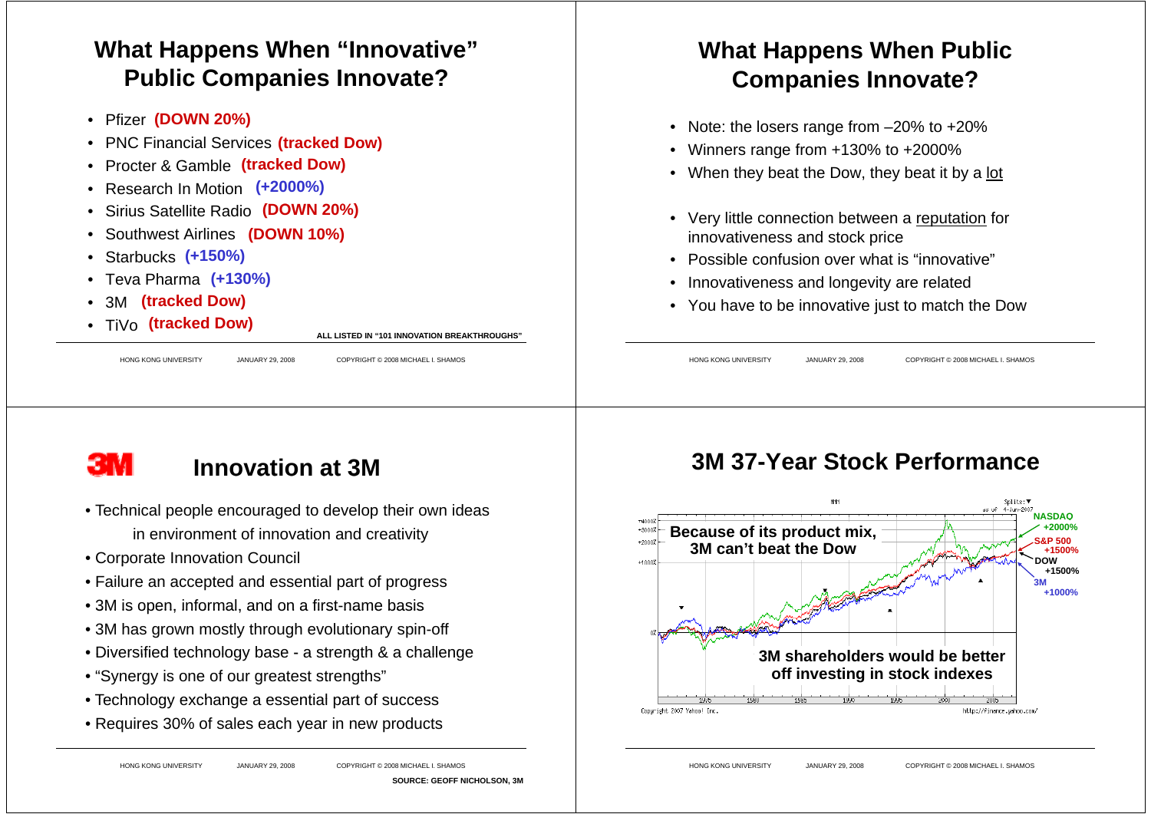## **What Happens When "Innovative" Public Companies Innovate?**

- Pfizer **(DOWN 20%)**
- •PNC Financial Services **(tracked Dow)**
- •**Procter & Gamble (tracked Dow)** 'acked Dow)<br>(+2000%)
- •Research In Motion (+2000%)
- •
- Sirius Satellite Radio **( O %) (D OWN 20%)(DOWN 10%)** •Southwest Airlines (DOWN 10%)
- •Starbucks **(+150%)**
- •Teva Pharma**(+130%)**
- •3M**(tracked Dow)**
- TiVo**(tracked Dow)**

**ALL LISTED IN "101 INNOVATION BREAKTHROUGHS" 101 BREAKTHROUGHS**

HONG KONG UNIVERSITY JANUARY 29, 2008 COPYRIGHT © 2008 MICHAEL I. SHAMOS

#### **What Happens When Public Companies Innovate?**

- Note: the losers range from –20% to +20%
- Winners range from +130% to +2000%
- When they beat the Dow, they beat it by a <u>lot</u>
- Very little connection between a reputation for innovativeness and stock price
- Possible confusion over what is "innovative"
- •Innovativeness and longevity are related
- You have to be innovative just to match the Dow

HONG KONG UNIVERSITY JANUARY 29, 2008 COPYRIGHT © 2008 MICHAEL I. SHAMOS

# зм

## **Innovation at3M at o**

- Technical people encouraged to develop their own ideas in environment of innovation and creativity
- Cor porate Innovation Council
- Failure an accepted and essential part of progress
- 3M is open, informal, and on a first-name basis
- 3M has grown mostly through evolutionary spin-off
- Diversified technology base a strength & a challenge
- "Synergy is one of our greatest strengths"
- Technology exchange <sup>a</sup> essential part of success
- Requires 30% of sales each year in new products

#### HONG KONG UNIVERSITY JANUARY 29, 2008 COPYRIGHT © 2008 MICHAEL I. SHAMOS

**SOURCE: GEOFF NICHOLSON, 3M**

## **3M 37-Year Stock Performance**

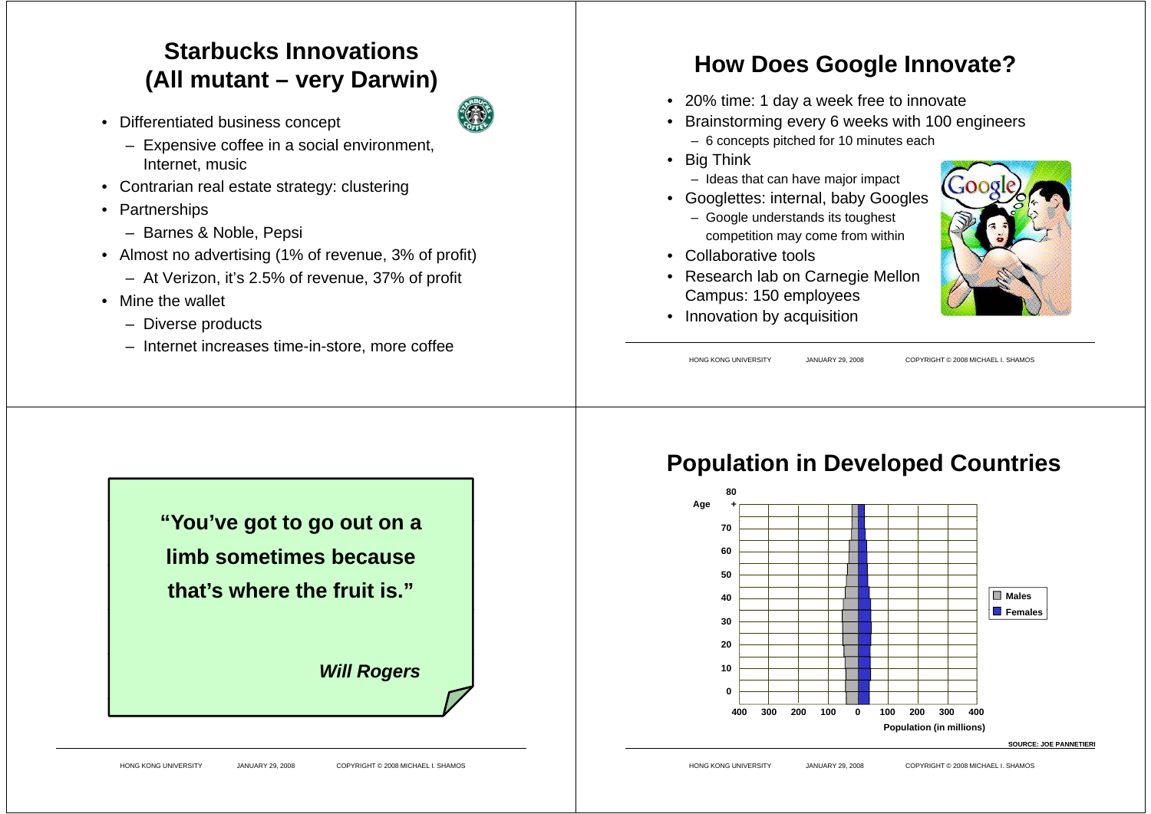## **Starbucks Innovations(All mutant – very Darwin)**

• Differentiated business concept



- Expensive coffee in a social environment, Internet, music
- Contrarian real estate strategy: clustering
- Partnerships
	- Barnes & Noble, Pepsi
- Almost no advertising (1% of revenue, 3% of profit)
	- At Verizon, it's 2.5% of revenue, 37% of profit
- Mine the wallet
	- Diverse products
	- Internet increases time-in-store, more coffee

## **How Does Google Innovate?**

- 20% time: 1 day a week free to innovate
- Brainstorming every 6 weeks with 100 engineers – 6 concepts pitched for 10 minutes each
- Big Think
- Ideas that can have major impact
- Googlettes: internal, baby Googles
	- Google understands its toughest competition may come from within
- Collaborative tools
- Research lab on Carnegie Mellon Campus: 150 employees
- Innovation by acquisition

HONG KONG UNIVERSITY JANUARY 29, 2008 COPYRIGHT © 2008 MICHAEL I. SHAMOS



## **Population in Developed Countries**



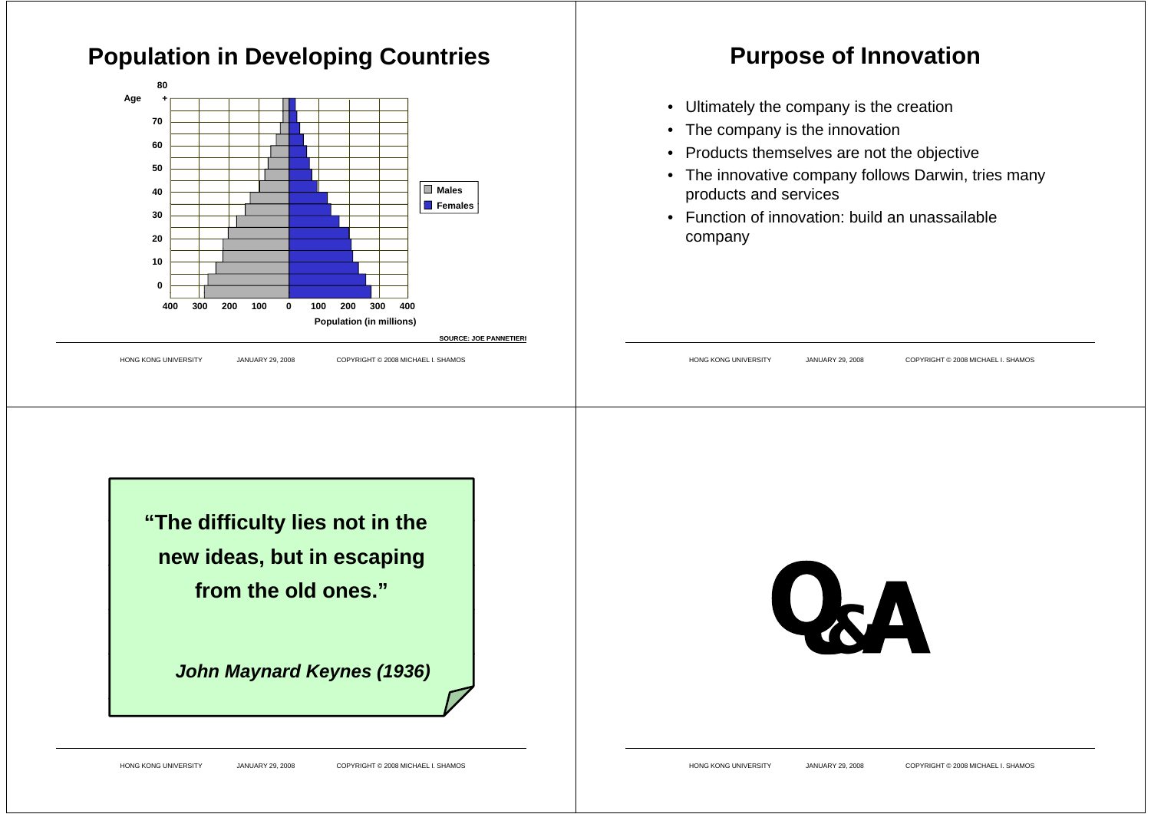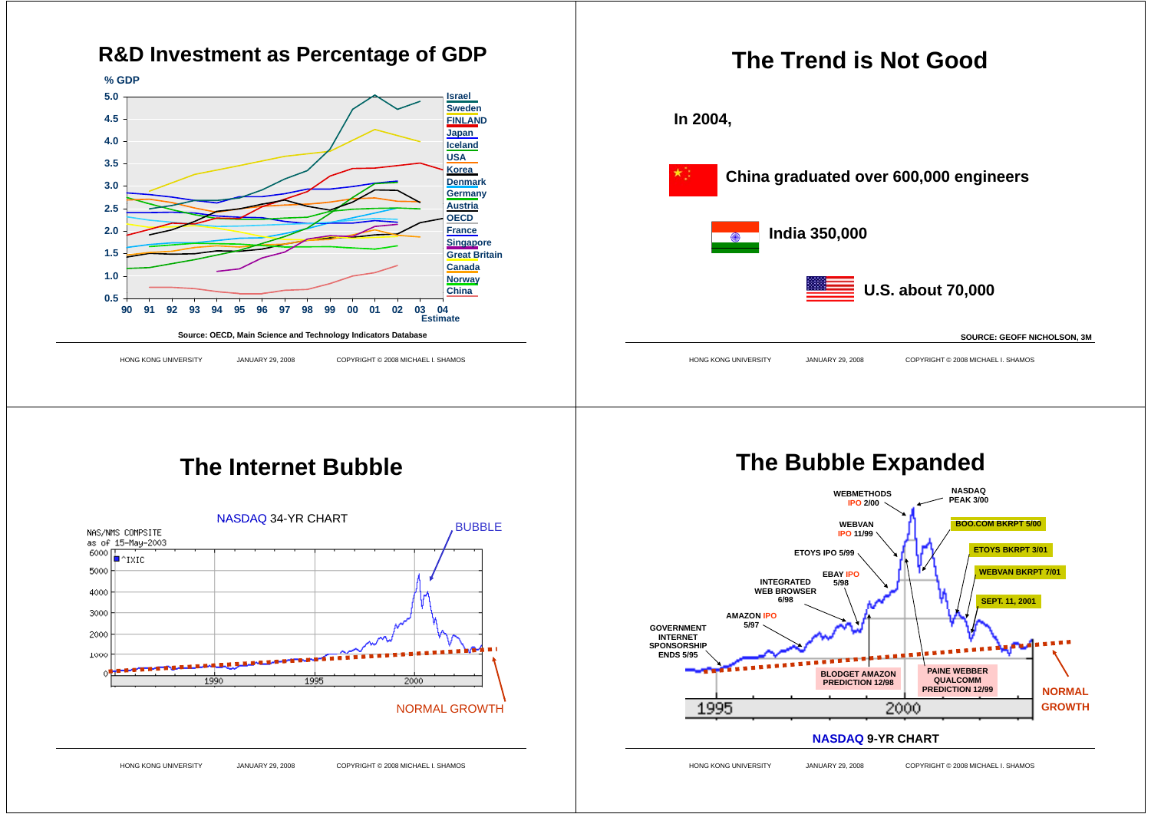



#### **The Bubble Expanded WEBMETHODSIPO 2/00 NASDAQ PEAK 3/00WEBVAN IPO 11/99 ETOYS IPO 5/99 b**  $\left| \int_{0}^{1} \right| \int_{0}^{1} \sqrt{1}$  **ETOYS BKRPT 3/01 BOO.COM BKRPT 5/00INTEGRATED WEB BROWSER6/98EBAY IPO5/98SEPT. 11, 2001 WEBVAN BKRPT 7/01 GOVERNMENT INTERNET SPONSORSHIPENDS 5/95AMAZON IPO5/97NORMALBLODGET AMAZON PREDICTION 12/98 PAINE WEBBER QUALCOMMPREDICTION 12/99**

#### **NASDAQ 9-YR CHARTNASDAQ9 YR**

2000

**GROWTH**

HONG KONG UNIVERSITY JANUARY 29, 2008 COPYRIGHT © 2008 MICHAEL I. SHAMOS

1995